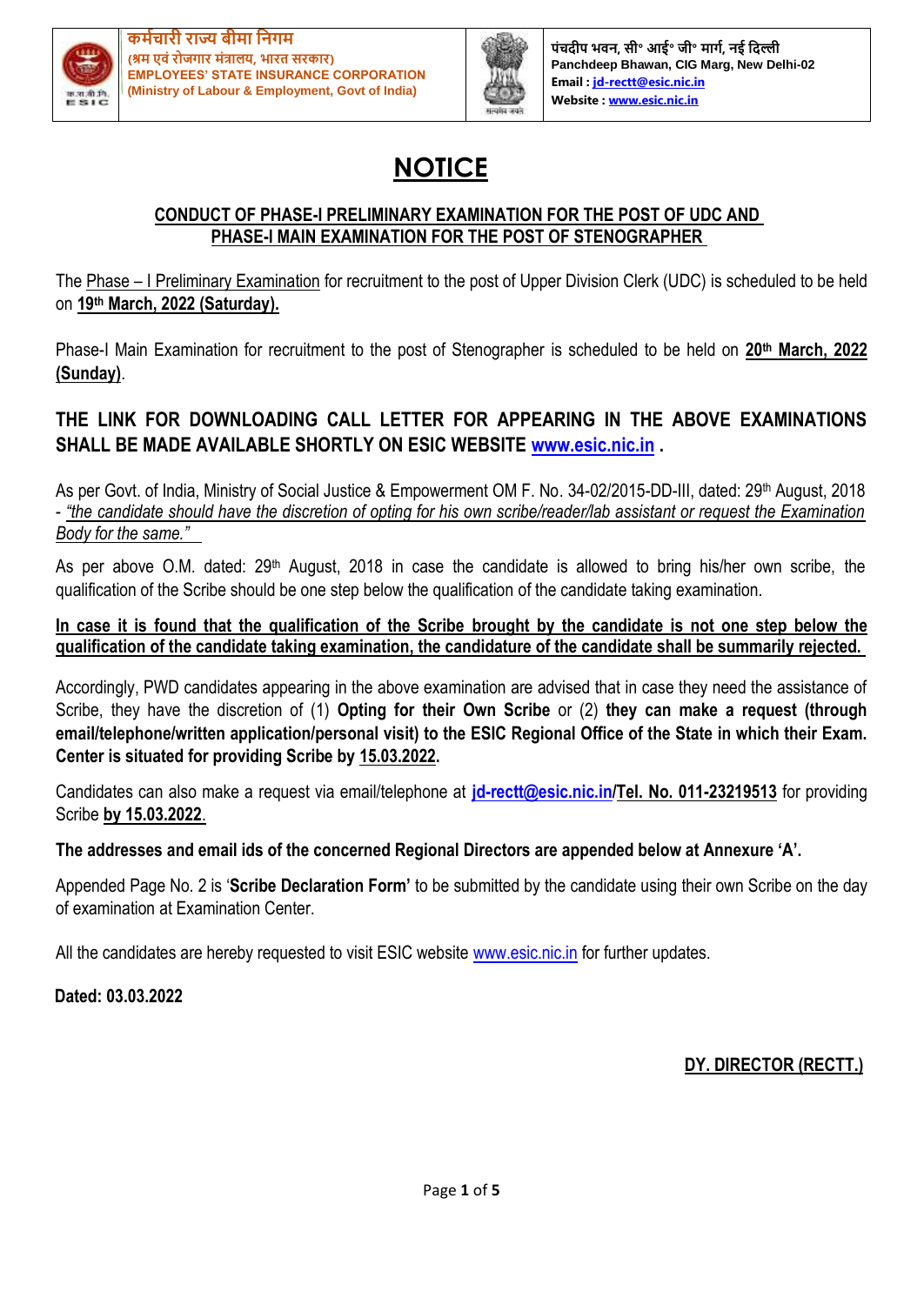



**पंचदीप भवि, सी॰ आई॰ जी॰ र्ागम, िई नदल्ली Panchdeep Bhawan, CIG Marg, New Delhi-02 Email [: jd-rectt@esic.nic.in](mailto:jd-rectt@esic.nic.in) Website [: www.esic.nic.in](http://www.esic.nic.in/)**

# **NOTICE**

### **CONDUCT OF PHASE-I PRELIMINARY EXAMINATION FOR THE POST OF UDC AND PHASE-I MAIN EXAMINATION FOR THE POST OF STENOGRAPHER**

The Phase – I Preliminary Examination for recruitment to the post of Upper Division Clerk (UDC) is scheduled to be held on **19th March, 2022 (Saturday).**

Phase-I Main Examination for recruitment to the post of Stenographer is scheduled to be held on **20th March, 2022 (Sunday)**.

### **THE LINK FOR DOWNLOADING CALL LETTER FOR APPEARING IN THE ABOVE EXAMINATIONS SHALL BE MADE AVAILABLE SHORTLY ON ESIC WEBSITE [www.esic.nic.in](http://www.esic.nic.in/) .**

As per Govt. of India, Ministry of Social Justice & Empowerment OM F. No. 34-02/2015-DD-III, dated: 29<sup>th</sup> August, 2018 - *"the candidate should have the discretion of opting for his own scribe/reader/lab assistant or request the Examination Body for the same."*

As per above O.M. dated: 29<sup>th</sup> August, 2018 in case the candidate is allowed to bring his/her own scribe, the qualification of the Scribe should be one step below the qualification of the candidate taking examination.

### **In case it is found that the qualification of the Scribe brought by the candidate is not one step below the qualification of the candidate taking examination, the candidature of the candidate shall be summarily rejected.**

Accordingly, PWD candidates appearing in the above examination are advised that in case they need the assistance of Scribe, they have the discretion of (1) **Opting for their Own Scribe** or (2) **they can make a request (through email/telephone/written application/personal visit) to the ESIC Regional Office of the State in which their Exam. Center is situated for providing Scribe by 15.03.2022.**

Candidates can also make a request via email/telephone at **[jd-rectt@esic.nic.in/](mailto:jd-rectt@esic.nic.in)Tel. No. 011-23219513** for providing Scribe **by 15.03.2022**.

### **The addresses and email ids of the concerned Regional Directors are appended below at Annexure 'A'.**

Appended Page No. 2 is '**Scribe Declaration Form'** to be submitted by the candidate using their own Scribe on the day of examination at Examination Center.

All the candidates are hereby requested to visit ESIC website [www.esic.nic.in](http://www.esic.nic.in/) for further updates.

**Dated: 03.03.2022**

**DY. DIRECTOR (RECTT.)**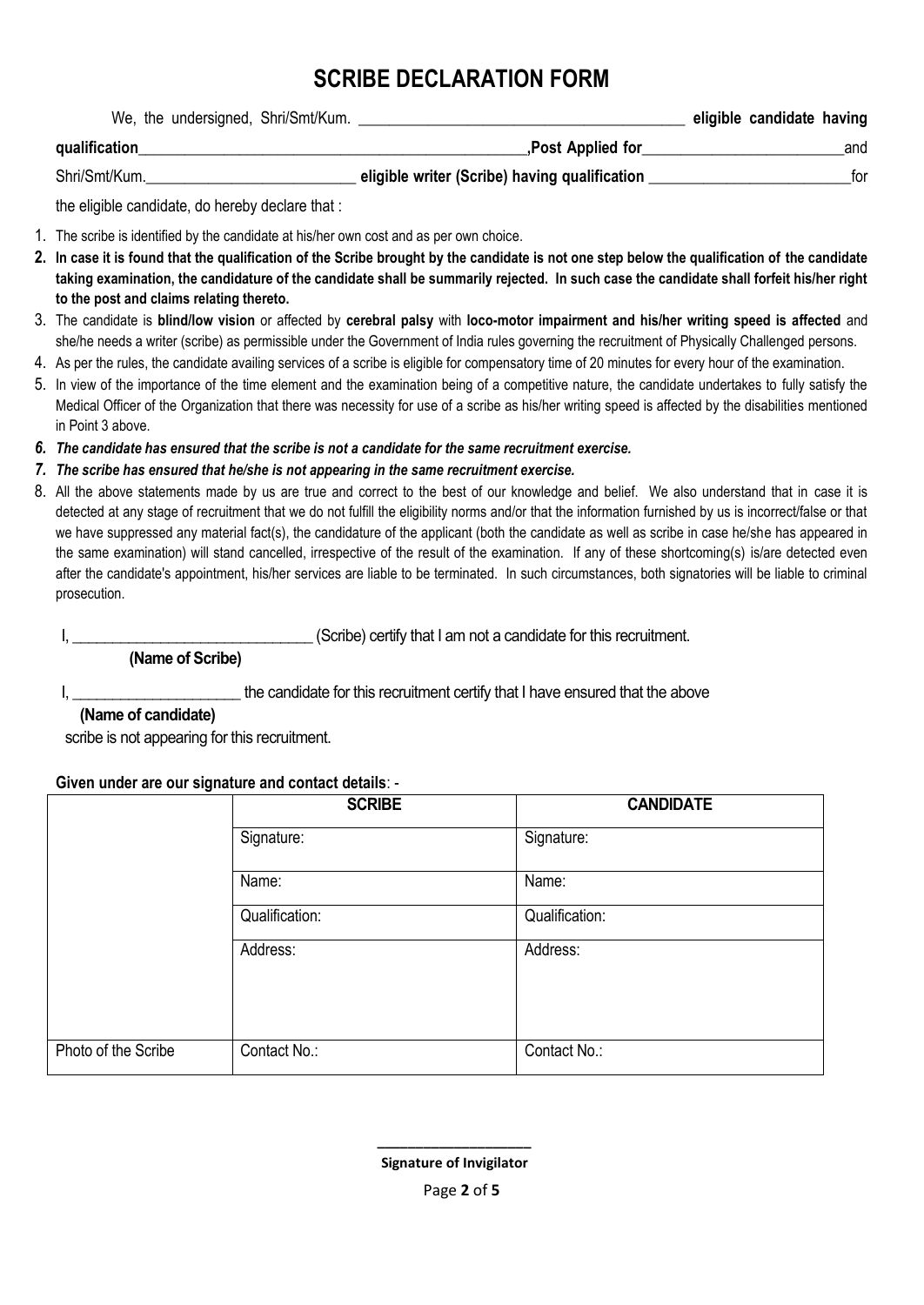## **SCRIBE DECLARATION FORM**

| We, the undersigned, Shri/Smt/Kum. |                                               | eligible candidate having |     |
|------------------------------------|-----------------------------------------------|---------------------------|-----|
| qualification                      | Post Applied for                              | and                       |     |
| Shri/Smt/Kum.                      | eligible writer (Scribe) having qualification |                           | tor |

the eligible candidate, do hereby declare that :

1. The scribe is identified by the candidate at his/her own cost and as per own choice.

- **2. In case it is found that the qualification of the Scribe brought by the candidate is not one step below the qualification of the candidate taking examination, the candidature of the candidate shall be summarily rejected. In such case the candidate shall forfeit his/her right to the post and claims relating thereto.**
- 3. The candidate is **blind/low vision** or affected by **cerebral palsy** with **loco-motor impairment and his/her writing speed is affected** and she/he needs a writer (scribe) as permissible under the Government of India rules governing the recruitment of Physically Challenged persons.
- 4. As per the rules, the candidate availing services of a scribe is eligible for compensatory time of 20 minutes for every hour of the examination.
- 5. In view of the importance of the time element and the examination being of a competitive nature, the candidate undertakes to fully satisfy the Medical Officer of the Organization that there was necessity for use of a scribe as his/her writing speed is affected by the disabilities mentioned in Point 3 above.
- *6. The candidate has ensured that the scribe is not a candidate for the same recruitment exercise.*

### *7. The scribe has ensured that he/she is not appearing in the same recruitment exercise.*

8. All the above statements made by us are true and correct to the best of our knowledge and belief. We also understand that in case it is detected at any stage of recruitment that we do not fulfill the eligibility norms and/or that the information furnished by us is incorrect/false or that we have suppressed any material fact(s), the candidature of the applicant (both the candidate as well as scribe in case he/she has appeared in the same examination) will stand cancelled, irrespective of the result of the examination. If any of these shortcoming(s) is/are detected even after the candidate's appointment, his/her services are liable to be terminated. In such circumstances, both signatories will be liable to criminal prosecution.

I, \_\_\_\_\_\_\_\_\_\_\_\_\_\_\_\_\_\_\_\_\_\_\_\_\_\_\_\_\_\_\_\_(Scribe) certify that I am not a candidate for this recruitment.

 **(Name of Scribe)**

I, the candidate for this recruitment certify that I have ensured that the above

### **(Name of candidate)**

scribe is not appearing for this recruitment.

#### **Given under are our signature and contact details**: -

|                     | <b>SCRIBE</b>  | <b>CANDIDATE</b> |
|---------------------|----------------|------------------|
|                     | Signature:     | Signature:       |
|                     | Name:          | Name:            |
|                     | Qualification: | Qualification:   |
|                     | Address:       | Address:         |
| Photo of the Scribe | Contact No.:   | Contact No.:     |

 **\_\_\_\_\_\_\_\_\_\_\_\_\_\_\_\_\_\_\_\_**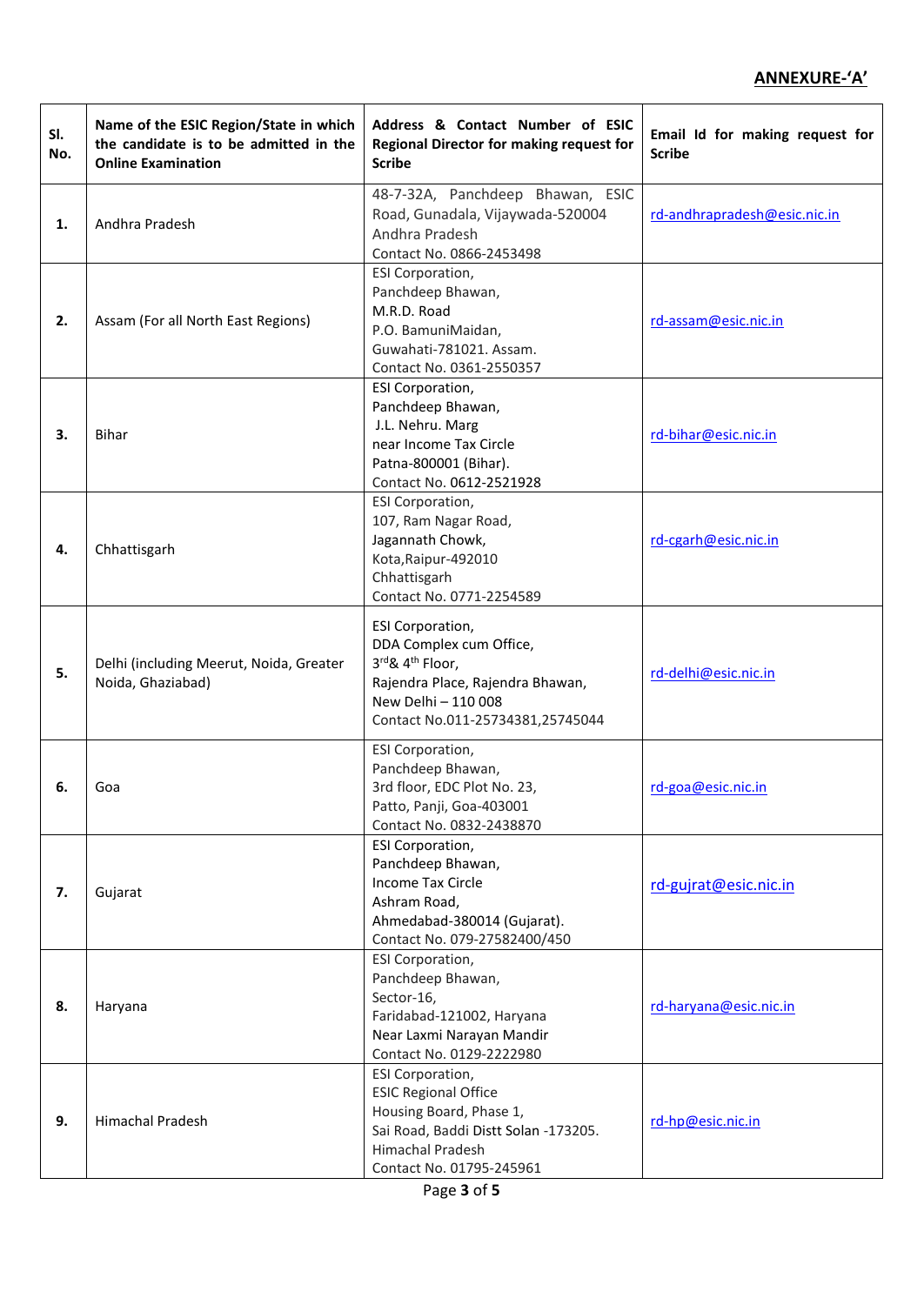### **ANNEXURE-'A'**

| SI.<br>No. | Name of the ESIC Region/State in which<br>the candidate is to be admitted in the<br><b>Online Examination</b> | Address & Contact Number of ESIC<br>Regional Director for making request for<br><b>Scribe</b>                                                                                    | Email Id for making request for<br><b>Scribe</b> |
|------------|---------------------------------------------------------------------------------------------------------------|----------------------------------------------------------------------------------------------------------------------------------------------------------------------------------|--------------------------------------------------|
| 1.         | Andhra Pradesh                                                                                                | 48-7-32A, Panchdeep Bhawan, ESIC<br>Road, Gunadala, Vijaywada-520004<br>Andhra Pradesh<br>Contact No. 0866-2453498                                                               | rd-andhrapradesh@esic.nic.in                     |
| 2.         | Assam (For all North East Regions)                                                                            | <b>ESI Corporation,</b><br>Panchdeep Bhawan,<br>M.R.D. Road<br>P.O. BamuniMaidan,<br>Guwahati-781021. Assam.<br>Contact No. 0361-2550357                                         | rd-assam@esic.nic.in                             |
| 3.         | <b>Bihar</b>                                                                                                  | <b>ESI Corporation,</b><br>Panchdeep Bhawan,<br>J.L. Nehru. Marg<br>near Income Tax Circle<br>Patna-800001 (Bihar).<br>Contact No. 0612-2521928                                  | rd-bihar@esic.nic.in                             |
| 4.         | Chhattisgarh                                                                                                  | ESI Corporation,<br>107, Ram Nagar Road,<br>Jagannath Chowk,<br>Kota, Raipur-492010<br>Chhattisgarh<br>Contact No. 0771-2254589                                                  | rd-cgarh@esic.nic.in                             |
| 5.         | Delhi (including Meerut, Noida, Greater<br>Noida, Ghaziabad)                                                  | <b>ESI Corporation,</b><br>DDA Complex cum Office,<br>3rd& 4 <sup>th</sup> Floor,<br>Rajendra Place, Rajendra Bhawan,<br>New Delhi - 110 008<br>Contact No.011-25734381,25745044 | rd-delhi@esic.nic.in                             |
| 6.         | Goa                                                                                                           | ESI Corporation,<br>Panchdeep Bhawan,<br>3rd floor, EDC Plot No. 23,<br>Patto, Panji, Goa-403001<br>Contact No. 0832-2438870                                                     | rd-goa@esic.nic.in                               |
| 7.         | Gujarat                                                                                                       | <b>ESI Corporation,</b><br>Panchdeep Bhawan,<br><b>Income Tax Circle</b><br>Ashram Road,<br>Ahmedabad-380014 (Gujarat).<br>Contact No. 079-27582400/450                          | rd-gujrat@esic.nic.in                            |
| 8.         | Haryana                                                                                                       | <b>ESI Corporation,</b><br>Panchdeep Bhawan,<br>Sector-16,<br>Faridabad-121002, Haryana<br>Near Laxmi Narayan Mandir<br>Contact No. 0129-2222980                                 | rd-haryana@esic.nic.in                           |
| 9.         | <b>Himachal Pradesh</b>                                                                                       | <b>ESI Corporation,</b><br><b>ESIC Regional Office</b><br>Housing Board, Phase 1,<br>Sai Road, Baddi Distt Solan -173205.<br>Himachal Pradesh<br>Contact No. 01795-245961        | rd-hp@esic.nic.in                                |

Page **3** of **5**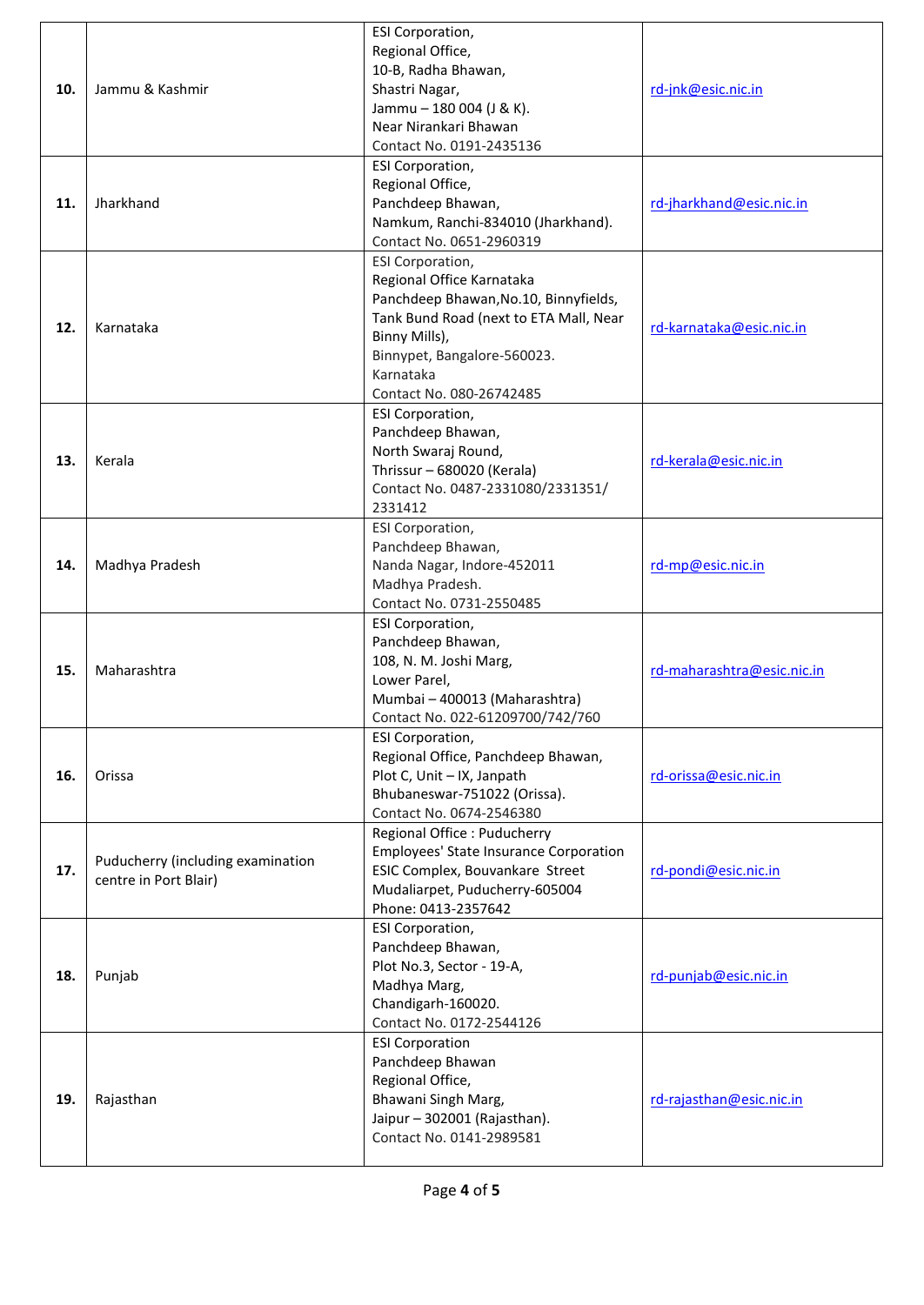|     |                                   | ESI Corporation,                              |                            |
|-----|-----------------------------------|-----------------------------------------------|----------------------------|
|     |                                   | Regional Office,                              |                            |
|     |                                   | 10-B, Radha Bhawan,                           |                            |
| 10. | Jammu & Kashmir                   | Shastri Nagar,                                | rd-jnk@esic.nic.in         |
|     |                                   | Jammu - 180 004 (J & K).                      |                            |
|     |                                   | Near Nirankari Bhawan                         |                            |
|     |                                   | Contact No. 0191-2435136                      |                            |
|     |                                   | <b>ESI Corporation,</b>                       |                            |
|     |                                   | Regional Office,                              |                            |
| 11. | Jharkhand                         | Panchdeep Bhawan,                             | rd-jharkhand@esic.nic.in   |
|     |                                   | Namkum, Ranchi-834010 (Jharkhand).            |                            |
|     |                                   | Contact No. 0651-2960319                      |                            |
|     |                                   | ESI Corporation,                              |                            |
|     |                                   | Regional Office Karnataka                     |                            |
|     |                                   | Panchdeep Bhawan, No.10, Binnyfields,         |                            |
|     |                                   | Tank Bund Road (next to ETA Mall, Near        |                            |
| 12. | Karnataka                         | Binny Mills),                                 | rd-karnataka@esic.nic.in   |
|     |                                   | Binnypet, Bangalore-560023.                   |                            |
|     |                                   | Karnataka                                     |                            |
|     |                                   | Contact No. 080-26742485                      |                            |
|     |                                   | <b>ESI Corporation,</b>                       |                            |
|     |                                   | Panchdeep Bhawan,                             |                            |
|     |                                   | North Swaraj Round,                           |                            |
| 13. | Kerala                            | Thrissur - 680020 (Kerala)                    | rd-kerala@esic.nic.in      |
|     |                                   | Contact No. 0487-2331080/2331351/             |                            |
|     |                                   | 2331412                                       |                            |
|     |                                   | ESI Corporation,                              |                            |
|     |                                   | Panchdeep Bhawan,                             |                            |
| 14. | Madhya Pradesh                    | Nanda Nagar, Indore-452011                    | rd-mp@esic.nic.in          |
|     |                                   | Madhya Pradesh.                               |                            |
|     |                                   | Contact No. 0731-2550485                      |                            |
|     |                                   | <b>ESI Corporation,</b>                       |                            |
|     |                                   | Panchdeep Bhawan,                             |                            |
|     |                                   | 108, N. M. Joshi Marg,                        |                            |
| 15. | Maharashtra                       | Lower Parel,                                  | rd-maharashtra@esic.nic.in |
|     |                                   | Mumbai - 400013 (Maharashtra)                 |                            |
|     |                                   | Contact No. 022-61209700/742/760              |                            |
|     |                                   | ESI Corporation,                              |                            |
|     |                                   | Regional Office, Panchdeep Bhawan,            |                            |
| 16. | Orissa                            | Plot C, Unit - IX, Janpath                    | rd-orissa@esic.nic.in      |
|     |                                   | Bhubaneswar-751022 (Orissa).                  |                            |
|     |                                   | Contact No. 0674-2546380                      |                            |
|     |                                   | Regional Office : Puducherry                  |                            |
|     |                                   | <b>Employees' State Insurance Corporation</b> |                            |
| 17. | Puducherry (including examination | ESIC Complex, Bouvankare Street               | rd-pondi@esic.nic.in       |
|     | centre in Port Blair)             | Mudaliarpet, Puducherry-605004                |                            |
|     |                                   | Phone: 0413-2357642                           |                            |
|     |                                   | <b>ESI Corporation,</b>                       |                            |
|     |                                   | Panchdeep Bhawan,                             |                            |
| 18. | Punjab                            | Plot No.3, Sector - 19-A,                     | rd-punjab@esic.nic.in      |
|     |                                   | Madhya Marg,                                  |                            |
|     |                                   | Chandigarh-160020.                            |                            |
|     |                                   | Contact No. 0172-2544126                      |                            |
|     |                                   | <b>ESI Corporation</b>                        |                            |
|     |                                   | Panchdeep Bhawan                              |                            |
|     |                                   | Regional Office,                              |                            |
| 19. | Rajasthan                         | Bhawani Singh Marg,                           | rd-rajasthan@esic.nic.in   |
|     |                                   | Jaipur - 302001 (Rajasthan).                  |                            |
|     |                                   | Contact No. 0141-2989581                      |                            |
|     |                                   |                                               |                            |